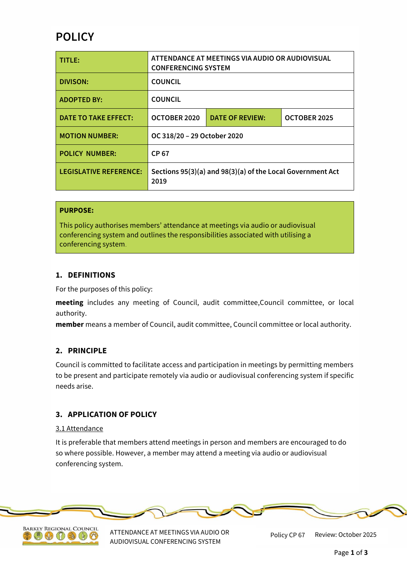# **POLICY**

| TITLE:                        | ATTENDANCE AT MEETINGS VIA AUDIO OR AUDIOVISUAL<br><b>CONFERENCING SYSTEM</b> |                        |              |
|-------------------------------|-------------------------------------------------------------------------------|------------------------|--------------|
| <b>DIVISON:</b>               | <b>COUNCIL</b>                                                                |                        |              |
| <b>ADOPTED BY:</b>            | <b>COUNCIL</b>                                                                |                        |              |
| <b>DATE TO TAKE EFFECT:</b>   | OCTOBER 2020                                                                  | <b>DATE OF REVIEW:</b> | OCTOBER 2025 |
| <b>MOTION NUMBER:</b>         | OC 318/20 - 29 October 2020                                                   |                        |              |
| <b>POLICY NUMBER:</b>         | CP 67                                                                         |                        |              |
| <b>LEGISLATIVE REFERENCE:</b> | Sections 95(3)(a) and 98(3)(a) of the Local Government Act<br>2019            |                        |              |

### **PURPOSE:**

This policy authorises members' attendance at meetings via audio or audiovisual conferencing system and outlines the responsibilities associated with utilising a conferencing system.

#### **1. DEFINITIONS**

For the purposes of this policy:

**meeting** includes any meeting of Council, audit committee,Council committee, or local authority.

**member** means a member of Council, audit committee, Council committee or local authority.

### **2. PRINCIPLE**

Council is committed to facilitate access and participation in meetings by permitting members to be present and participate remotely via audio or audiovisual conferencing system if specific needs arise.

# **3. APPLICATION OF POLICY**

#### 3.1 Attendance

It is preferable that members attend meetings in person and members are encouraged to do so where possible. However, a member may attend a meeting via audio or audiovisual conferencing system.





ATTENDANCE AT MEETINGS VIA AUDIO OR AUDIOVISUAL CONFERENCING SYSTEM

Policy CP 67 Review: October 2025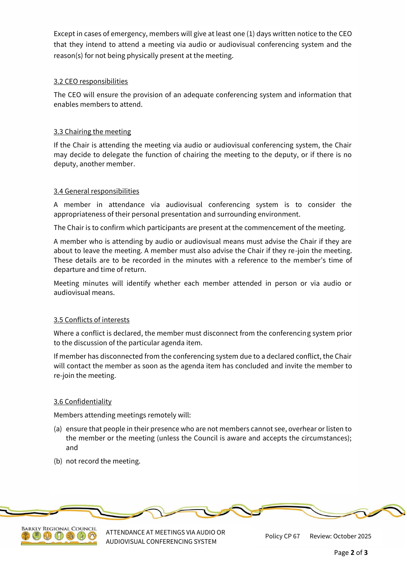Except in cases of emergency, members will give at least one (1) days written notice to the CEO that they intend to attend a meeting via audio or audiovisual conferencing system and the reason(s) for not being physically present at the meeting.

# 3.2 CEO responsibilities

The CEO will ensure the provision of an adequate conferencing system and information that enables members to attend.

## 3.3 Chairing the meeting

If the Chair is attending the meeting via audio or audiovisual conferencing system, the Chair may decide to delegate the function of chairing the meeting to the deputy, or if there is no deputy, another member.

### 3.4 General responsibilities

A member in attendance via audiovisual conferencing system is to consider the appropriateness of their personal presentation and surrounding environment.

The Chair is to confirm which participants are present at the commencement of the meeting.

A member who is attending by audio or audiovisual means must advise the Chair if they are about to leave the meeting. A member must also advise the Chair if they re-join the meeting. These details are to be recorded in the minutes with a reference to the member's time of departure and time of return.

Meeting minutes will identify whether each member attended in person or via audio or audiovisual means.

### 3.5 Conflicts of interests

Where a conflict is declared, the member must disconnect from the conferencing system prior to the discussion of the particular agenda item.

If member has disconnected from the conferencing system due to a declared conflict, the Chair will contact the member as soon as the agenda item has concluded and invite the member to re-join the meeting.

### 3.6 Confidentiality

Members attending meetings remotely will:

- (a) ensure that people in their presence who are not members cannot see, overhear or listen to the member or the meeting (unless the Council is aware and accepts the circumstances); and
- (b) not record the meeting.





ATTENDANCE AT MEETINGS VIA AUDIO OR AUDIOVISUAL CONFERENCING SYSTEM

Review: October 2025 Policy CP 67